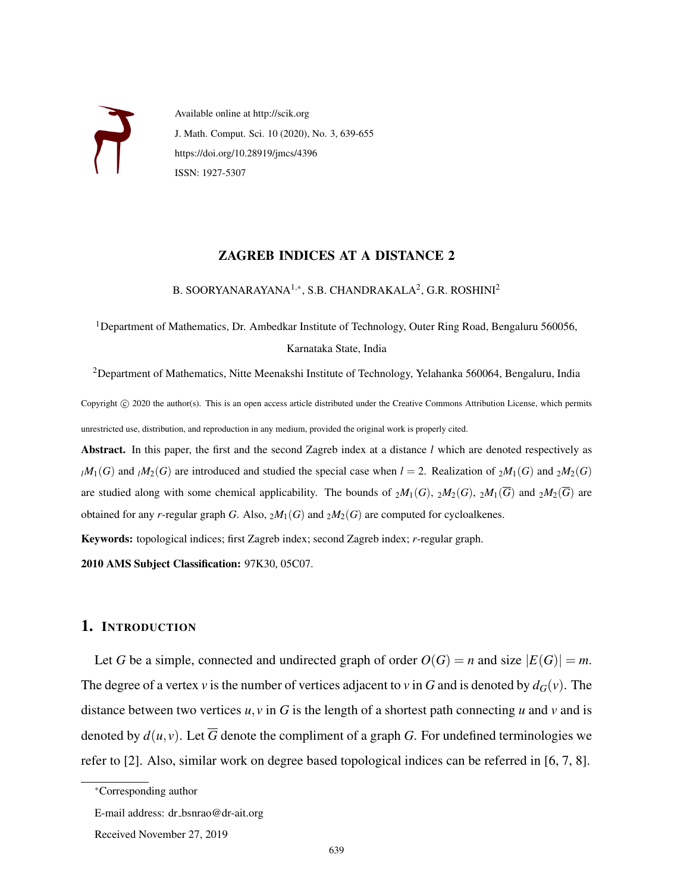

Available online at http://scik.org J. Math. Comput. Sci. 10 (2020), No. 3, 639-655 https://doi.org/10.28919/jmcs/4396 ISSN: 1927-5307

#### ZAGREB INDICES AT A DISTANCE 2

B. SOORYANARAYANA $^{1,\ast},$  S.B. CHANDRAKALA $^{2},$  G.R. ROSHINI $^{2}$ 

<sup>1</sup>Department of Mathematics, Dr. Ambedkar Institute of Technology, Outer Ring Road, Bengaluru 560056, Karnataka State, India

<sup>2</sup>Department of Mathematics, Nitte Meenakshi Institute of Technology, Yelahanka 560064, Bengaluru, India

Copyright © 2020 the author(s). This is an open access article distributed under the Creative Commons Attribution License, which permits unrestricted use, distribution, and reproduction in any medium, provided the original work is properly cited.

Abstract. In this paper, the first and the second Zagreb index at a distance *l* which are denoted respectively as  $l$ <sup>*M*</sup><sub>1</sub>(*G*) and  $l$ <sup>*M*</sup><sub>2</sub>(*G*) are introduced and studied the special case when *l* = 2. Realization of  $2M_1(G)$  and  $2M_2(G)$ are studied along with some chemical applicability. The bounds of  $_2M_1(G)$ ,  $_2M_2(G)$ ,  $_2M_1(\overline{G})$  and  $_2M_2(\overline{G})$  are obtained for any *r*-regular graph *G*. Also,  $_2M_1(G)$  and  $_2M_2(G)$  are computed for cycloalkenes.

Keywords: topological indices; first Zagreb index; second Zagreb index; *r*-regular graph.

2010 AMS Subject Classification: 97K30, 05C07.

# 1. INTRODUCTION

Let *G* be a simple, connected and undirected graph of order  $O(G) = n$  and size  $|E(G)| = m$ . The degree of a vertex *v* is the number of vertices adjacent to *v* in *G* and is denoted by  $d_G(v)$ . The distance between two vertices  $u, v$  in  $G$  is the length of a shortest path connecting  $u$  and  $v$  and is denoted by  $d(u, v)$ . Let  $\overline{G}$  denote the compliment of a graph *G*. For undefined terminologies we refer to [2]. Also, similar work on degree based topological indices can be referred in [6, 7, 8].

<sup>∗</sup>Corresponding author

E-mail address: dr bsnrao@dr-ait.org

Received November 27, 2019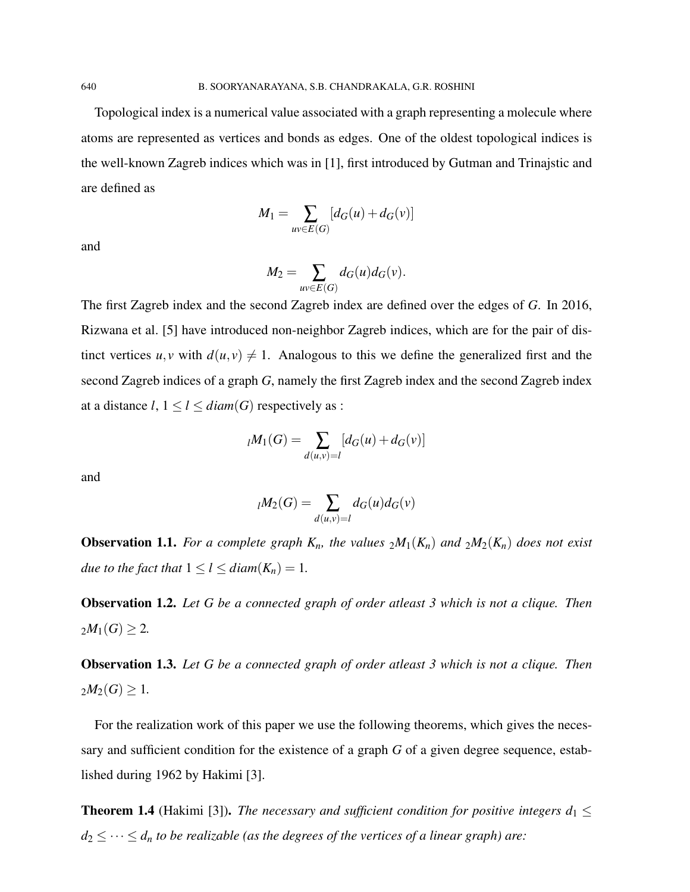Topological index is a numerical value associated with a graph representing a molecule where atoms are represented as vertices and bonds as edges. One of the oldest topological indices is the well-known Zagreb indices which was in [1], first introduced by Gutman and Trinajstic and are defined as

$$
M_1 = \sum_{uv \in E(G)} [d_G(u) + d_G(v)]
$$

and

$$
M_2 = \sum_{uv \in E(G)} d_G(u) d_G(v).
$$

The first Zagreb index and the second Zagreb index are defined over the edges of *G*. In 2016, Rizwana et al. [5] have introduced non-neighbor Zagreb indices, which are for the pair of distinct vertices  $u, v$  with  $d(u, v) \neq 1$ . Analogous to this we define the generalized first and the second Zagreb indices of a graph *G*, namely the first Zagreb index and the second Zagreb index at a distance  $l, 1 \leq l \leq diam(G)$  respectively as :

$$
{}_{l}M_{1}(G) = \sum_{d(u,v)=l} [d_{G}(u) + d_{G}(v)]
$$

and

$$
{}_{l}M_2(G) = \sum_{d(u,v)=l} d_G(u)d_G(v)
$$

**Observation 1.1.** *For a complete graph*  $K_n$ *, the values*  $_2M_1(K_n)$  *and*  $_2M_2(K_n)$  *does not exist due to the fact that*  $1 \leq l \leq diam(K_n) = 1$ *.* 

Observation 1.2. *Let G be a connected graph of order atleast 3 which is not a clique. Then*  $2M_1(G) \geq 2$ .

Observation 1.3. *Let G be a connected graph of order atleast 3 which is not a clique. Then*  $2M_2(G) \geq 1$ .

For the realization work of this paper we use the following theorems, which gives the necessary and sufficient condition for the existence of a graph *G* of a given degree sequence, established during 1962 by Hakimi [3].

**Theorem 1.4** (Hakimi [3]). *The necessary and sufficient condition for positive integers*  $d_1 \leq$  $d_2 \leq \cdots \leq d_n$  *to be realizable (as the degrees of the vertices of a linear graph) are:*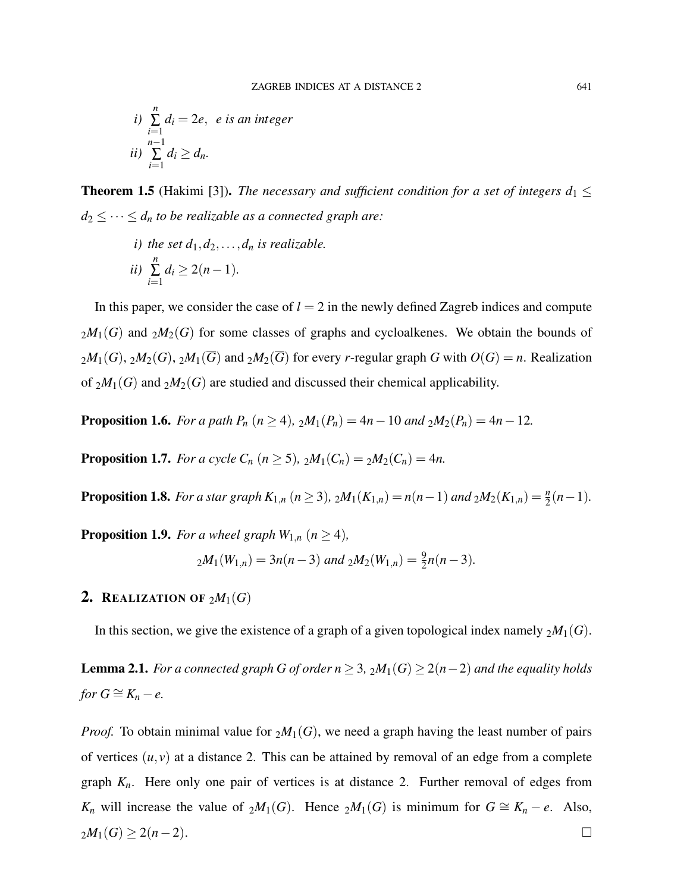*i)* 
$$
\sum_{i=1}^{n} d_i = 2e, e
$$
 is an integer  
 *ii*) 
$$
\sum_{i=1}^{n-1} d_i \geq d_n.
$$

**Theorem 1.5** (Hakimi [3]). *The necessary and sufficient condition for a set of integers*  $d_1 \leq$  $d_2 \leq \cdots \leq d_n$  *to be realizable as a connected graph are:* 

*i)* the set  $d_1, d_2, \ldots, d_n$  *is realizable. ii) n* ∑ *i*=1  $d_i \geq 2(n-1)$ .

In this paper, we consider the case of  $l = 2$  in the newly defined Zagreb indices and compute  $2M_1(G)$  and  $2M_2(G)$  for some classes of graphs and cycloalkenes. We obtain the bounds of  $2M_1(G)$ ,  $2M_2(G)$ ,  $2M_1(\overline{G})$  and  $2M_2(\overline{G})$  for every *r*-regular graph *G* with  $O(G) = n$ . Realization of  $_2M_1(G)$  and  $_2M_2(G)$  are studied and discussed their chemical applicability.

**Proposition 1.6.** *For a path P<sub>n</sub>* ( $n \ge 4$ ),  $_2M_1(P_n) = 4n - 10$  *and*  $_2M_2(P_n) = 4n - 12$ *.* 

**Proposition 1.7.** *For a cycle C<sub>n</sub>*  $(n \ge 5)$ *,*  $_2M_1(C_n) = _2M_2(C_n) = 4n$ .

**Proposition 1.8.** For a star graph  $K_{1,n}$  ( $n \ge 3$ ),  $_2M_1(K_{1,n}) = n(n-1)$  and  $_2M_2(K_{1,n}) = \frac{n}{2}(n-1)$ *.* 

**Proposition 1.9.** *For a wheel graph*  $W_{1,n}$  ( $n \geq 4$ ),

$$
{}_{2}M_1(W_{1,n}) = 3n(n-3) \text{ and } {}_{2}M_2(W_{1,n}) = \frac{9}{2}n(n-3).
$$

# 2. REALIZATION OF  $_2M_1(G)$

In this section, we give the existence of a graph of a given topological index namely  $_2M_1(G)$ .

**Lemma 2.1.** *For a connected graph G of order n* ≥ 3,  $_2M_1(G)$  ≥ 2(*n*−2) *and the equality holds for*  $G \cong K_n - e$ .

*Proof.* To obtain minimal value for  $_2M_1(G)$ , we need a graph having the least number of pairs of vertices  $(u, v)$  at a distance 2. This can be attained by removal of an edge from a complete graph *Kn*. Here only one pair of vertices is at distance 2. Further removal of edges from *K<sub>n</sub>* will increase the value of  $_2M_1(G)$ . Hence  $_2M_1(G)$  is minimum for  $G \cong K_n - e$ . Also,  $2M_1(G)$  ≥ 2(*n*−2).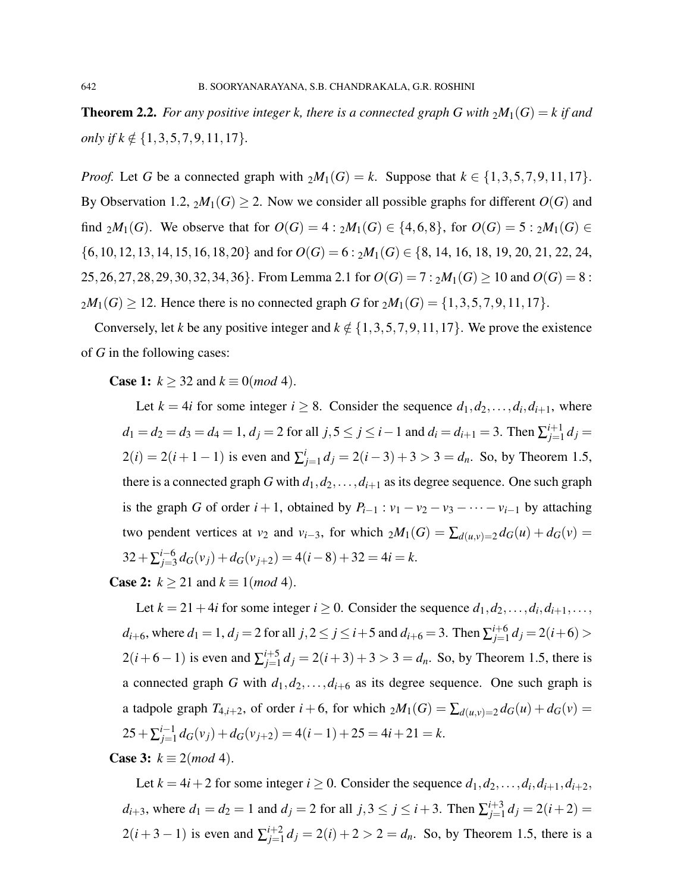**Theorem 2.2.** For any positive integer k, there is a connected graph G with  $_2M_1(G) = k$  if and *only if k*  $\notin$  {1,3,5,7,9,11,17}*.* 

*Proof.* Let *G* be a connected graph with  $_2M_1(G) = k$ . Suppose that  $k \in \{1,3,5,7,9,11,17\}$ . By Observation 1.2,  $_2M_1(G) \geq 2$ . Now we consider all possible graphs for different  $O(G)$  and find  $_2M_1(G)$ . We observe that for  $O(G) = 4 : _2M_1(G) \in \{4, 6, 8\}$ , for  $O(G) = 5 : _2M_1(G) \in$  $\{6,10,12,13,14,15,16,18,20\}$  and for  $O(G) = 6 : 2M_1(G) \in \{8, 14, 16, 18, 19, 20, 21, 22, 24, 24, 25, 26, 27, 28, 27, 28, 29, 20, 21, 22, 24, 25, 26, 27, 28, 28, 29, 20, 21, 22, 24, 25, 26, 27, 28, 29, 20, 21, 22, 24, 28,$ 25,26,27,28,29,30,32,34,36}. From Lemma 2.1 for  $O(G) = 7 : 2M_1(G) \ge 10$  and  $O(G) = 8$ :  $2M_1(G) \ge 12$ . Hence there is no connected graph *G* for  $2M_1(G) = \{1,3,5,7,9,11,17\}$ .

Conversely, let *k* be any positive integer and  $k \notin \{1,3,5,7,9,11,17\}$ . We prove the existence of *G* in the following cases:

**Case 1:**  $k \ge 32$  and  $k \equiv 0 \pmod{4}$ .

Let  $k = 4i$  for some integer  $i \geq 8$ . Consider the sequence  $d_1, d_2, \ldots, d_i, d_{i+1}$ , where  $d_1 = d_2 = d_3 = d_4 = 1, d_j = 2$  for all  $j, 5 \le j \le i-1$  and  $d_i = d_{i+1} = 3$ . Then  $\sum_{j=1}^{i+1}$  $\int_{j=1}^{i+1} d_j =$  $2(i) = 2(i + 1 - 1)$  is even and  $\sum_{i=1}^{i}$  $d_j = 2(i-3) + 3 > 3 = d_n$ . So, by Theorem 1.5, there is a connected graph *G* with  $d_1, d_2, \ldots, d_{i+1}$  as its degree sequence. One such graph is the graph *G* of order  $i + 1$ , obtained by  $P_{i-1}$ :  $v_1 - v_2 - v_3 - \cdots - v_{i-1}$  by attaching two pendent vertices at *v*<sub>2</sub> and *v*<sub>*i*</sub>−3, for which  $_2M_1(G) = \sum_{d(u,v)=2} d_G(u) + d_G(v)$  $32 + \sum_{j=3}^{i=6}$  $j_{j=3}^{j-6} d_G(v_j) + d_G(v_{j+2}) = 4(i-8) + 32 = 4i = k.$ 

**Case 2:**  $k \ge 21$  and  $k \equiv 1 \pmod{4}$ .

Let  $k = 21 + 4i$  for some integer  $i \ge 0$ . Consider the sequence  $d_1, d_2, \ldots, d_i, d_{i+1}, \ldots$  $d_{i+6}$ , where  $d_1 = 1$ ,  $d_j = 2$  for all  $j, 2 \le j \le i+5$  and  $d_{i+6} = 3$ . Then  $\sum_{j=1}^{i+6}$  $j=1 \atop j=1$   $d_j = 2(i+6) > j$  $2(i+6-1)$  is even and  $\sum_{i=1}^{i+5}$  $j_{j=1}^{j+5} d_j = 2(i+3) + 3 > 3 = d_n$ . So, by Theorem 1.5, there is a connected graph *G* with  $d_1, d_2, \ldots, d_{i+6}$  as its degree sequence. One such graph is a tadpole graph  $T_{4,i+2}$ , of order  $i + 6$ , for which  $_2M_1(G) = \sum_{d(u,v)=2} d_G(u) + d_G(v)$  $25 + \sum_{j=1}^{i-1}$  $j_{j=1}^{i-1} d_G(v_j) + d_G(v_{j+2}) = 4(i-1) + 25 = 4i + 21 = k.$ 

**Case 3:**  $k \equiv 2 \pmod{4}$ .

Let  $k = 4i + 2$  for some integer  $i \ge 0$ . Consider the sequence  $d_1, d_2, \ldots, d_i, d_{i+1}, d_{i+2}$ , *d*<sub>*i*+3</sub>, where *d*<sub>1</sub> = *d*<sub>2</sub> = 1 and *d*<sub>*j*</sub> = 2 for all *j*,3 ≤ *j* ≤ *i* + 3. Then  $\sum_{j=1}^{i+3}$  $j=1 \ d_j = 2(i+2) =$  $2(i+3-1)$  is even and  $\sum_{i=1}^{i+2}$  $j_{j=1}^{l+2} d_j = 2(i) + 2 > 2 = d_n$ . So, by Theorem 1.5, there is a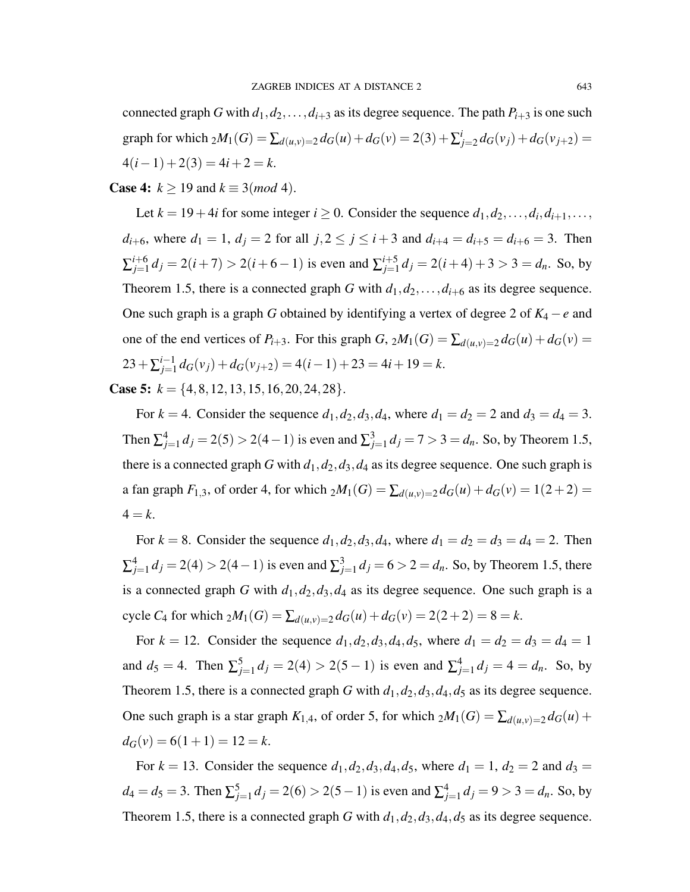connected graph *G* with  $d_1, d_2, \ldots, d_{i+3}$  as its degree sequence. The path  $P_{i+3}$  is one such graph for which  $_2M_1(G) = \sum_{d(u,v)=2} d_G(u) + d_G(v) = 2(3) + \sum_{i=1}^{i} d_i$  $d_{j=2}d_G(v_j) + d_G(v_{j+2}) =$  $4(i-1) + 2(3) = 4i + 2 = k.$ 

### **Case 4:**  $k \ge 19$  and  $k \equiv 3 \pmod{4}$ .

Let  $k = 19 + 4i$  for some integer  $i \ge 0$ . Consider the sequence  $d_1, d_2, \ldots, d_i, d_{i+1}, \ldots$ *d*<sub>*i*+6</sub>, where *d*<sub>1</sub> = 1, *d*<sub>*j*</sub> = 2 for all *j*,2  $\leq$  *j*  $\leq$  *i* + 3 and *d*<sub>*i*+4</sub> = *d*<sub>*i*+5</sub> = *d*<sub>*i*+6</sub> = 3. Then  $\Sigma_{i=1}^{i+6}$  $j_{j=1}^{i+6} d_j = 2(i+7) > 2(i+6-1)$  is even and  $\sum_{j=1}^{i+5} d_j$  $j_{j=1}^{i+5} d_j = 2(i+4) + 3 > 3 = d_n$ . So, by Theorem 1.5, there is a connected graph *G* with  $d_1, d_2, \ldots, d_{i+6}$  as its degree sequence. One such graph is a graph *G* obtained by identifying a vertex of degree 2 of *K*<sup>4</sup> −*e* and one of the end vertices of  $P_{i+3}$ . For this graph *G*,  $_2M_1(G) = \sum_{d(u,v)=2} d_G(u) + d_G(v)$  $23 + \sum_{j=1}^{i-1}$  $d_{j=1}^{i-1} d_G(v_j) + d_G(v_{j+2}) = 4(i-1) + 23 = 4i + 19 = k.$ 

**Case 5:**  $k = \{4, 8, 12, 13, 15, 16, 20, 24, 28\}.$ 

For  $k = 4$ . Consider the sequence  $d_1, d_2, d_3, d_4$ , where  $d_1 = d_2 = 2$  and  $d_3 = d_4 = 3$ . Then  $\sum_{j=1}^{4} d_j = 2(5) > 2(4-1)$  is even and  $\sum_{j=1}^{3} d_j = 7 > 3 = d_n$ . So, by Theorem 1.5, there is a connected graph *G* with  $d_1, d_2, d_3, d_4$  as its degree sequence. One such graph is a fan graph  $F_{1,3}$ , of order 4, for which  $_2M_1(G) = \sum_{d(u,v)=2} d_G(u) + d_G(v) = 1(2+2) =$  $4 = k$ .

For  $k = 8$ . Consider the sequence  $d_1, d_2, d_3, d_4$ , where  $d_1 = d_2 = d_3 = d_4 = 2$ . Then  $\sum_{j=1}^{4} d_j = 2(4) > 2(4-1)$  is even and  $\sum_{j=1}^{3} d_j = 6 > 2 = d_n$ . So, by Theorem 1.5, there is a connected graph *G* with  $d_1$ ,  $d_2$ ,  $d_3$ ,  $d_4$  as its degree sequence. One such graph is a cycle *C*<sub>4</sub> for which  $_2M_1(G) = \sum_{d(u,v)=2} d_G(u) + d_G(v) = 2(2+2) = 8 = k$ .

For  $k = 12$ . Consider the sequence  $d_1, d_2, d_3, d_4, d_5$ , where  $d_1 = d_2 = d_3 = d_4 = 1$ and  $d_5 = 4$ . Then  $\sum_{j=1}^5 d_j = 2(4) > 2(5-1)$  is even and  $\sum_{j=1}^4 d_j = 4 = d_n$ . So, by Theorem 1.5, there is a connected graph *G* with  $d_1, d_2, d_3, d_4, d_5$  as its degree sequence. One such graph is a star graph  $K_{1,4}$ , of order 5, for which  $_2M_1(G) = \sum_{d(u,v)=2} d_G(u) +$  $d_G(v) = 6(1+1) = 12 = k.$ 

For  $k = 13$ . Consider the sequence  $d_1, d_2, d_3, d_4, d_5$ , where  $d_1 = 1$ ,  $d_2 = 2$  and  $d_3 = 1$  $d_4 = d_5 = 3$ . Then  $\sum_{j=1}^{5} d_j = 2(6) > 2(5-1)$  is even and  $\sum_{j=1}^{4} d_j = 9 > 3 = d_n$ . So, by Theorem 1.5, there is a connected graph *G* with  $d_1$ ,  $d_2$ ,  $d_3$ ,  $d_4$ ,  $d_5$  as its degree sequence.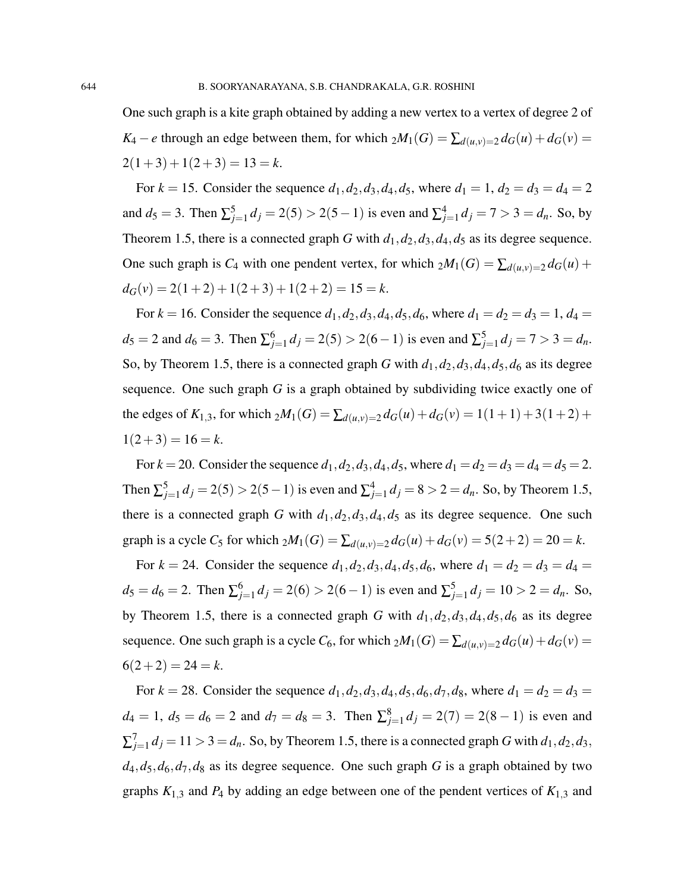One such graph is a kite graph obtained by adding a new vertex to a vertex of degree 2 of *K*<sub>4</sub> − *e* through an edge between them, for which  $_2M_1(G) = \sum_{d(u,v)=2} d_G(u) + d_G(v)$  $2(1+3) + 1(2+3) = 13 = k.$ 

For  $k = 15$ . Consider the sequence  $d_1, d_2, d_3, d_4, d_5$ , where  $d_1 = 1, d_2 = d_3 = d_4 = 2$ and  $d_5 = 3$ . Then  $\sum_{j=1}^{5} d_j = 2(5) > 2(5-1)$  is even and  $\sum_{j=1}^{4} d_j = 7 > 3 = d_n$ . So, by Theorem 1.5, there is a connected graph *G* with  $d_1, d_2, d_3, d_4, d_5$  as its degree sequence. One such graph is  $C_4$  with one pendent vertex, for which  $_2M_1(G) = \sum_{d(u,v)=2} d_G(u) +$  $d_G(v) = 2(1+2) + 1(2+3) + 1(2+2) = 15 = k.$ 

For  $k = 16$ . Consider the sequence  $d_1, d_2, d_3, d_4, d_5, d_6$ , where  $d_1 = d_2 = d_3 = 1$ ,  $d_4 =$  $d_5 = 2$  and  $d_6 = 3$ . Then  $\sum_{j=1}^{6} d_j = 2(5) > 2(6-1)$  is even and  $\sum_{j=1}^{5} d_j = 7 > 3 = d_n$ . So, by Theorem 1.5, there is a connected graph *G* with  $d_1, d_2, d_3, d_4, d_5, d_6$  as its degree sequence. One such graph *G* is a graph obtained by subdividing twice exactly one of the edges of  $K_{1,3}$ , for which  $_2M_1(G) = \sum_{d(u,v)=2} d_G(u) + d_G(v) = 1(1+1) + 3(1+2) +$  $1(2+3) = 16 = k.$ 

For  $k = 20$ . Consider the sequence  $d_1, d_2, d_3, d_4, d_5$ , where  $d_1 = d_2 = d_3 = d_4 = d_5 = 2$ . Then  $\sum_{j=1}^{5} d_j = 2(5) > 2(5-1)$  is even and  $\sum_{j=1}^{4} d_j = 8 > 2 = d_n$ . So, by Theorem 1.5, there is a connected graph *G* with  $d_1, d_2, d_3, d_4, d_5$  as its degree sequence. One such graph is a cycle  $C_5$  for which  $_2M_1(G) = \sum_{d(u,v)=2} d_G(u) + d_G(v) = 5(2+2) = 20 = k$ .

For  $k = 24$ . Consider the sequence  $d_1, d_2, d_3, d_4, d_5, d_6$ , where  $d_1 = d_2 = d_3 = d_4 = 1$  $d_5 = d_6 = 2$ . Then  $\sum_{j=1}^{6} d_j = 2(6) > 2(6-1)$  is even and  $\sum_{j=1}^{5} d_j = 10 > 2 = d_n$ . So, by Theorem 1.5, there is a connected graph *G* with  $d_1, d_2, d_3, d_4, d_5, d_6$  as its degree sequence. One such graph is a cycle  $C_6$ , for which  $_2M_1(G) = \sum_{d(u,v)=2} d_G(u) + d_G(v)$  $6(2+2) = 24 = k.$ 

For  $k = 28$ . Consider the sequence  $d_1, d_2, d_3, d_4, d_5, d_6, d_7, d_8$ , where  $d_1 = d_2 = d_3 =$  $d_4 = 1$ ,  $d_5 = d_6 = 2$  and  $d_7 = d_8 = 3$ . Then  $\sum_{j=1}^{8} d_j = 2(7) = 2(8-1)$  is even and  $\sum_{j=1}^{7} d_j = 11 > 3 = d_n$ . So, by Theorem 1.5, there is a connected graph *G* with  $d_1, d_2, d_3$ ,  $d_4$ ,  $d_5$ ,  $d_6$ ,  $d_7$ ,  $d_8$  as its degree sequence. One such graph *G* is a graph obtained by two graphs  $K_{1,3}$  and  $P_4$  by adding an edge between one of the pendent vertices of  $K_{1,3}$  and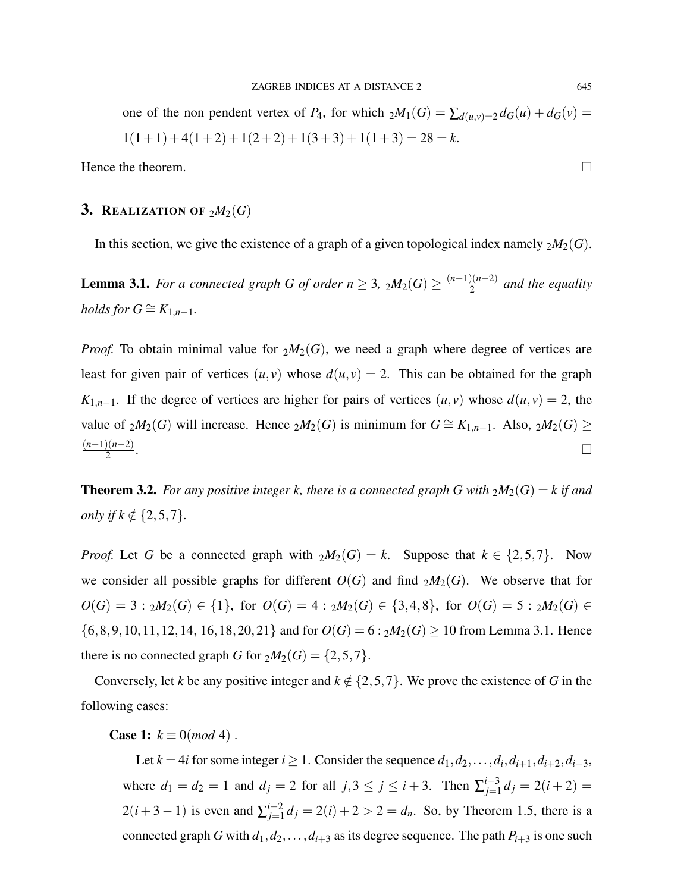one of the non pendent vertex of  $P_4$ , for which  $_2M_1(G) = \sum_{d(u,v)=2} d_G(u) + d_G(v) =$  $1(1+1) + 4(1+2) + 1(2+2) + 1(3+3) + 1(1+3) = 28 = k.$ 

Hence the theorem.  $\Box$ 

## **3.** REALIZATION OF  $_2M_2(G)$

In this section, we give the existence of a graph of a given topological index namely  $_2M_2(G)$ .

**Lemma 3.1.** *For a connected graph G of order n*  $\geq$  3,  $_2M_2(G) \geq \frac{(n-1)(n-2)}{2}$  $\frac{2(n-2)}{2}$  and the equality *holds for*  $G \cong K_{1,n-1}$ *.* 

*Proof.* To obtain minimal value for  $_2M_2(G)$ , we need a graph where degree of vertices are least for given pair of vertices  $(u, v)$  whose  $d(u, v) = 2$ . This can be obtained for the graph *K*<sub>1,*n*−1</sub>. If the degree of vertices are higher for pairs of vertices  $(u, v)$  whose  $d(u, v) = 2$ , the value of  $_2M_2(G)$  will increase. Hence  $_2M_2(G)$  is minimum for  $G \cong K_{1,n-1}$ . Also,  $_2M_2(G) \ge$ (*n*−1)(*n*−2) 2 .

**Theorem 3.2.** *For any positive integer k, there is a connected graph G with*  $_2M_2(G) = k$  *if and only if*  $k \notin \{2, 5, 7\}.$ 

*Proof.* Let *G* be a connected graph with  $_2M_2(G) = k$ . Suppose that  $k \in \{2, 5, 7\}$ . Now we consider all possible graphs for different  $O(G)$  and find  $_2M_2(G)$ . We observe that for *O*(*G*) = 3 :  $_2M_2(G)$  ∈ {1}, for *O*(*G*) = 4 :  $_2M_2(G)$  ∈ {3,4,8}, for *O*(*G*) = 5 :  $_2M_2(G)$  ∈  $\{6,8,9,10,11,12,14,16,18,20,21\}$  and for  $O(G) = 6: {}_{2}M_{2}(G) \ge 10$  from Lemma 3.1. Hence there is no connected graph *G* for  $_2M_2(G) = \{2, 5, 7\}.$ 

Conversely, let *k* be any positive integer and  $k \notin \{2, 5, 7\}$ . We prove the existence of *G* in the following cases:

**Case 1:**  $k \equiv 0 \pmod{4}$ .

Let  $k = 4i$  for some integer  $i \geq 1$ . Consider the sequence  $d_1, d_2, \ldots, d_i, d_{i+1}, d_{i+2}, d_{i+3}$ , where  $d_1 = d_2 = 1$  and  $d_j = 2$  for all  $j, 3 \le j \le i + 3$ . Then  $\sum_{j=1}^{i+3}$  $j=1 \atop j=1}^{i+3} d_j = 2(i+2) =$  $2(i+3-1)$  is even and  $\sum_{i=1}^{i+2}$  $j_{j=1}^{l+2} d_j = 2(i) + 2 > 2 = d_n$ . So, by Theorem 1.5, there is a connected graph *G* with  $d_1, d_2, \ldots, d_{i+3}$  as its degree sequence. The path  $P_{i+3}$  is one such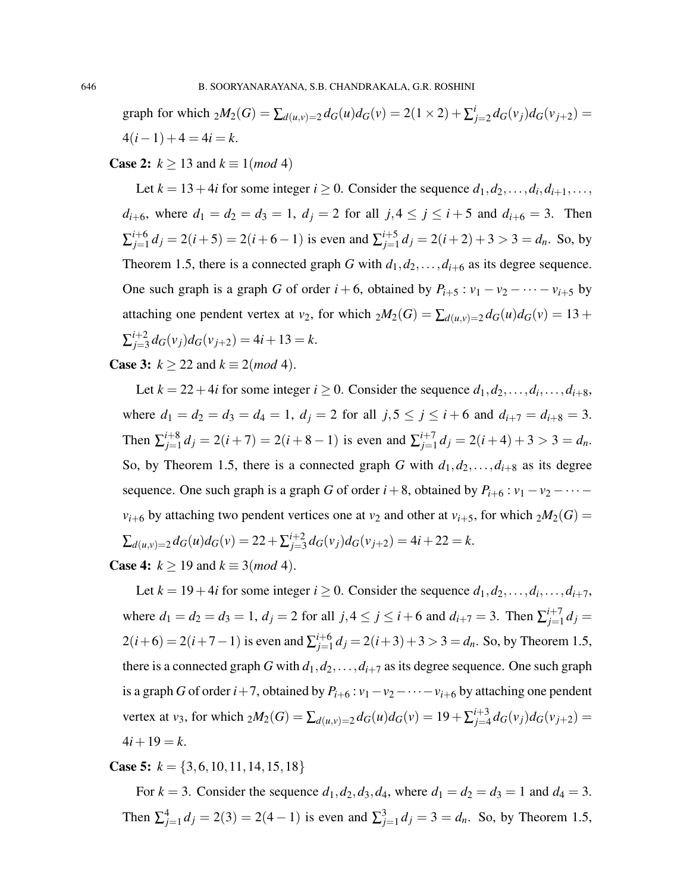graph for which  $_2M_2(G) = \sum_{d(u,v)=2} d_G(u)d_G(v) = 2(1 \times 2) + \sum_{i=1}^{i} d_i$  $d_{j=2} d_G(v_j) d_G(v_{j+2}) =$  $4(i-1) + 4 = 4i = k.$ 

**Case 2:**  $k \ge 13$  and  $k \equiv 1 \pmod{4}$ 

Let  $k = 13 + 4i$  for some integer  $i \ge 0$ . Consider the sequence  $d_1, d_2, \ldots, d_i, d_{i+1}, \ldots$ *d*<sub>*i*+6</sub>, where  $d_1 = d_2 = d_3 = 1$ ,  $d_j = 2$  for all  $j, 4 \le j \le i + 5$  and  $d_{i+6} = 3$ . Then  $\Sigma_{i=1}^{i+6}$  $j_{j=1}^{i+6} d_j = 2(i+5) = 2(i+6-1)$  is even and  $\sum_{j=1}^{i+5} d_j$  $j_{j=1}^{i+5} d_j = 2(i+2) + 3 > 3 = d_n$ . So, by Theorem 1.5, there is a connected graph *G* with  $d_1, d_2, \ldots, d_{i+6}$  as its degree sequence. One such graph is a graph *G* of order  $i + 6$ , obtained by  $P_{i+5}$ :  $v_1 - v_2 - \cdots - v_{i+5}$  by attaching one pendent vertex at *v*<sub>2</sub>, for which  $_2M_2(G) = \sum_{d(u,v)=2} d_G(u)d_G(v) = 13 +$  $\Sigma_{j=3}^{i+2}$  $j_{j=3}^{i+2} d_G(v_j) d_G(v_{j+2}) = 4i + 13 = k.$ 

**Case 3:**  $k \ge 22$  and  $k \equiv 2 \pmod{4}$ .

Let  $k = 22 + 4i$  for some integer  $i \ge 0$ . Consider the sequence  $d_1, d_2, \ldots, d_i, \ldots, d_{i+8}$ , where  $d_1 = d_2 = d_3 = d_4 = 1$ ,  $d_j = 2$  for all  $j, 5 \le j \le i + 6$  and  $d_{i+7} = d_{i+8} = 3$ . Then  $\sum_{j=1}^{i+8}$  $j_{j=1}^{i+8} d_j = 2(i+7) = 2(i+8-1)$  is even and  $\sum_{j=1}^{i+7}$  $j_{j=1}^{i+j} d_j = 2(i+4) + 3 > 3 = d_n.$ So, by Theorem 1.5, there is a connected graph *G* with  $d_1, d_2, \ldots, d_{i+8}$  as its degree sequence. One such graph is a graph *G* of order  $i+8$ , obtained by  $P_{i+6}$ :  $v_1 - v_2 - \cdots$ *v*<sub>*i*+6</sub> by attaching two pendent vertices one at *v*<sub>2</sub> and other at *v*<sub>*i*+5</sub>, for which  $_2M_2(G)$  =  $\sum_{d(u,v)=2} d_G(u) d_G(v) = 22 + \sum_{j=3}^{i+2}$  $j_{j=3}^{i+2} d_G(v_j) d_G(v_{j+2}) = 4i + 22 = k.$ 

**Case 4:**  $k \ge 19$  and  $k \equiv 3 \pmod{4}$ .

Let  $k = 19 + 4i$  for some integer  $i \ge 0$ . Consider the sequence  $d_1, d_2, \ldots, d_i, \ldots, d_{i+7}$ , where  $d_1 = d_2 = d_3 = 1$ ,  $d_j = 2$  for all  $j, 4 \le j \le i + 6$  and  $d_{i+7} = 3$ . Then  $\sum_{j=1}^{i+7}$  $j=1 \ d_j =$  $2(i+6) = 2(i+7-1)$  is even and  $\sum_{i=1}^{i+6}$  $j_{j=1}^{j+6} d_j = 2(i+3)+3 > 3 = d_n$ . So, by Theorem 1.5, there is a connected graph *G* with  $d_1, d_2, \ldots, d_{i+7}$  as its degree sequence. One such graph is a graph *G* of order *i*+7, obtained by  $P_{i+6}$  :  $v_1 - v_2 - \cdots - v_{i+6}$  by attaching one pendent vertex at *v*<sub>3</sub>, for which  ${}_{2}M_2(G) = \sum_{d(u,v)=2} d_G(u) d_G(v) = 19 + \sum_{j=4}^{i+3}$  $d_{j=4}^{i+3} d_G(v_j) d_G(v_{j+2}) =$  $4i+19=k.$ 

**Case 5:**  $k = \{3, 6, 10, 11, 14, 15, 18\}$ 

For  $k = 3$ . Consider the sequence  $d_1, d_2, d_3, d_4$ , where  $d_1 = d_2 = d_3 = 1$  and  $d_4 = 3$ . Then  $\sum_{j=1}^{4} d_j = 2(3) = 2(4-1)$  is even and  $\sum_{j=1}^{3} d_j = 3 = d_n$ . So, by Theorem 1.5,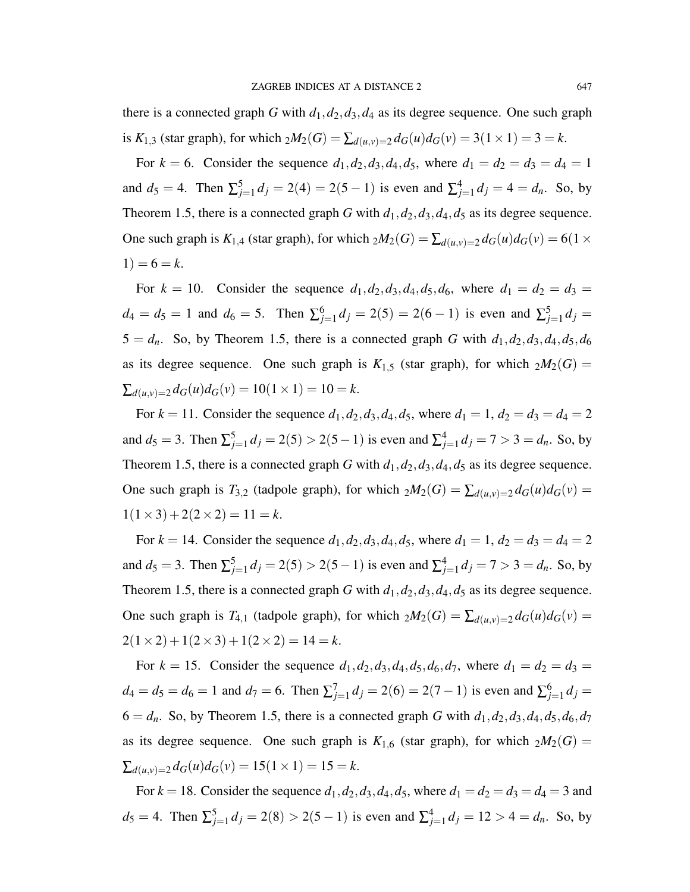there is a connected graph *G* with  $d_1$ ,  $d_2$ ,  $d_3$ ,  $d_4$  as its degree sequence. One such graph is *K*<sub>1,3</sub> (star graph), for which  $_2M_2(G) = \sum_{d(u,v)=2} d_G(u) d_G(v) = 3(1 \times 1) = 3 = k$ .

For  $k = 6$ . Consider the sequence  $d_1, d_2, d_3, d_4, d_5$ , where  $d_1 = d_2 = d_3 = d_4 = 1$ and  $d_5 = 4$ . Then  $\sum_{j=1}^{5} d_j = 2(4) = 2(5-1)$  is even and  $\sum_{j=1}^{4} d_j = 4 = d_n$ . So, by Theorem 1.5, there is a connected graph *G* with  $d_1, d_2, d_3, d_4, d_5$  as its degree sequence. One such graph is  $K_{1,4}$  (star graph), for which  $_2M_2(G) = \sum_{d(u,v)=2} d_G(u) d_G(v) = 6(1 \times$  $1) = 6 = k.$ 

For  $k = 10$ . Consider the sequence  $d_1, d_2, d_3, d_4, d_5, d_6$ , where  $d_1 = d_2 = d_3 =$  $d_4 = d_5 = 1$  and  $d_6 = 5$ . Then  $\sum_{j=1}^{6} d_j = 2(5) = 2(6-1)$  is even and  $\sum_{j=1}^{5} d_j =$  $5 = d_n$ . So, by Theorem 1.5, there is a connected graph *G* with  $d_1, d_2, d_3, d_4, d_5, d_6$ as its degree sequence. One such graph is  $K_{1,5}$  (star graph), for which  $_2M_2(G)$  =  $\sum_{d(u,v)=2} d_G(u) d_G(v) = 10(1 \times 1) = 10 = k.$ 

For  $k = 11$ . Consider the sequence  $d_1, d_2, d_3, d_4, d_5$ , where  $d_1 = 1$ ,  $d_2 = d_3 = d_4 = 2$ and  $d_5 = 3$ . Then  $\sum_{j=1}^{5} d_j = 2(5) > 2(5-1)$  is even and  $\sum_{j=1}^{4} d_j = 7 > 3 = d_n$ . So, by Theorem 1.5, there is a connected graph *G* with  $d_1, d_2, d_3, d_4, d_5$  as its degree sequence. One such graph is  $T_{3,2}$  (tadpole graph), for which  $_2M_2(G) = \sum_{d(u,v)=2} d_G(u)d_G(v)$  $1(1\times3) + 2(2\times2) = 11 = k.$ 

For  $k = 14$ . Consider the sequence  $d_1, d_2, d_3, d_4, d_5$ , where  $d_1 = 1, d_2 = d_3 = d_4 = 2$ and  $d_5 = 3$ . Then  $\sum_{j=1}^{5} d_j = 2(5) > 2(5-1)$  is even and  $\sum_{j=1}^{4} d_j = 7 > 3 = d_n$ . So, by Theorem 1.5, there is a connected graph *G* with  $d_1$ ,  $d_2$ ,  $d_3$ ,  $d_4$ ,  $d_5$  as its degree sequence. One such graph is  $T_{4,1}$  (tadpole graph), for which  $_2M_2(G) = \sum_{d(u,v)=2} d_G(u)d_G(v)$  $2(1\times2) + 1(2\times3) + 1(2\times2) = 14 = k.$ 

For  $k = 15$ . Consider the sequence  $d_1, d_2, d_3, d_4, d_5, d_6, d_7$ , where  $d_1 = d_2 = d_3 =$  $d_4 = d_5 = d_6 = 1$  and  $d_7 = 6$ . Then  $\sum_{j=1}^{7} d_j = 2(6) = 2(7-1)$  is even and  $\sum_{j=1}^{6} d_j =$  $6 = d_n$ . So, by Theorem 1.5, there is a connected graph *G* with  $d_1, d_2, d_3, d_4, d_5, d_6, d_7$ as its degree sequence. One such graph is  $K_{1,6}$  (star graph), for which  $_2M_2(G)$  =  $\sum_{d(u,v)=2} d_G(u) d_G(v) = 15(1 \times 1) = 15 = k.$ 

For  $k = 18$ . Consider the sequence  $d_1, d_2, d_3, d_4, d_5$ , where  $d_1 = d_2 = d_3 = d_4 = 3$  and  $d_5 = 4$ . Then  $\sum_{j=1}^{5} d_j = 2(8) > 2(5-1)$  is even and  $\sum_{j=1}^{4} d_j = 12 > 4 = d_n$ . So, by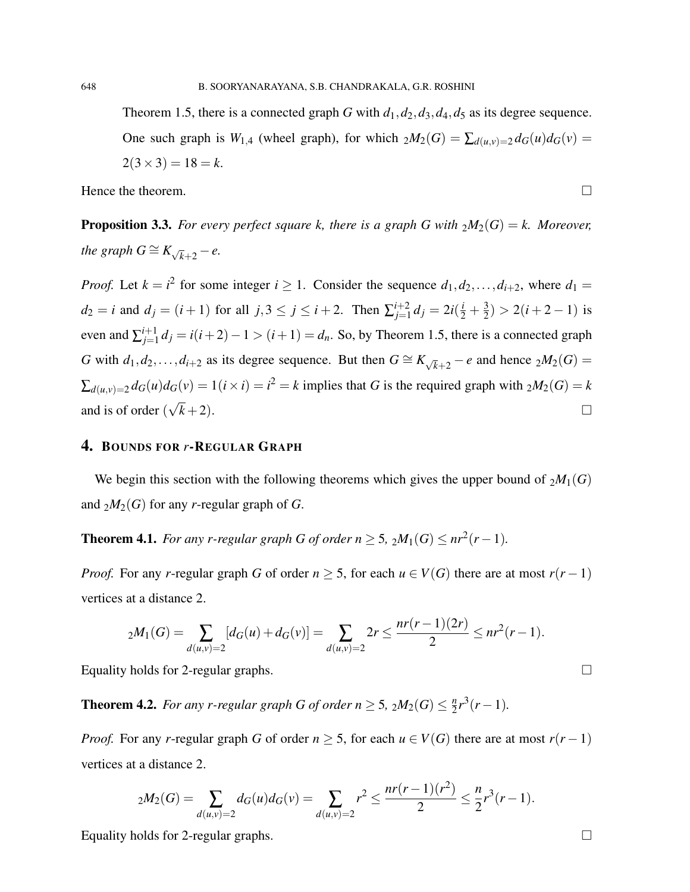Theorem 1.5, there is a connected graph *G* with  $d_1, d_2, d_3, d_4, d_5$  as its degree sequence. One such graph is  $W_{1,4}$  (wheel graph), for which  $_2M_2(G) = \sum_{d(u,v)=2} d_G(u)d_G(v)$  $2(3\times3) = 18 = k$ .

Hence the theorem.  $\Box$ 

**Proposition 3.3.** *For every perfect square k, there is a graph G with*  $_2M_2(G) = k$ *. Moreover, the graph*  $G \cong K_{\sqrt{k}+2} - e$ .

*Proof.* Let  $k = i^2$  for some integer  $i \ge 1$ . Consider the sequence  $d_1, d_2, \ldots, d_{i+2}$ , where  $d_1 =$  $d_2 = i$  and  $d_j = (i + 1)$  for all  $j, 3 \le j \le i + 2$ . Then  $\sum_{j=1}^{i+2}$  $j=1 \ d_j = 2i(\frac{i}{2} + \frac{3}{2})$  $\frac{3}{2}$ ) > 2(*i* + 2 – 1) is even and  $\sum_{j=1}^{i+1}$ *j*<sup>+1</sup></sup> $j$  = *i*(*i* + 2) − 1 > (*i* + 1) = *d<sub>n</sub>*. So, by Theorem 1.5, there is a connected graph *G* with  $d_1, d_2, \ldots, d_{i+2}$  as its degree sequence. But then  $G \cong K_{\sqrt{k}+2} - e$  and hence  $_2M_2(G) =$  $\sum_{d(u,v)=2} d_G(u) d_G(v) = 1(i \times i) = i^2 = k$  implies that *G* is the required graph with  $_2M_2(G) = k$ and is of order ( √  $\overline{k}$  +2).

## 4. BOUNDS FOR *r*-REGULAR GRAPH

We begin this section with the following theorems which gives the upper bound of  $_2M_1(G)$ and  $_2M_2(G)$  for any *r*-regular graph of *G*.

**Theorem 4.1.** *For any r-regular graph G of order n*  $\geq$  5,  $_2M_1(G) \leq nr^2(r-1)$ *.* 

*Proof.* For any *r*-regular graph *G* of order  $n \geq 5$ , for each  $u \in V(G)$  there are at most  $r(r-1)$ vertices at a distance 2.

$$
{}_2M_1(G) = \sum_{d(u,v)=2} [d_G(u) + d_G(v)] = \sum_{d(u,v)=2} 2r \le \frac{nr(r-1)(2r)}{2} \le nr^2(r-1).
$$

Equality holds for 2-regular graphs.  $\Box$ 

**Theorem 4.2.** For any r-regular graph G of order  $n \geq 5$ ,  $_2M_2(G) \leq \frac{n}{2}$  $\frac{n}{2}r^3(r-1)$ .

*Proof.* For any *r*-regular graph *G* of order  $n \geq 5$ , for each  $u \in V(G)$  there are at most  $r(r-1)$ vertices at a distance 2.

$$
{}_{2}M_{2}(G) = \sum_{d(u,v)=2} d_G(u)d_G(v) = \sum_{d(u,v)=2} r^{2} \leq \frac{nr(r-1)(r^{2})}{2} \leq \frac{n}{2}r^{3}(r-1).
$$

Equality holds for 2-regular graphs.  $\Box$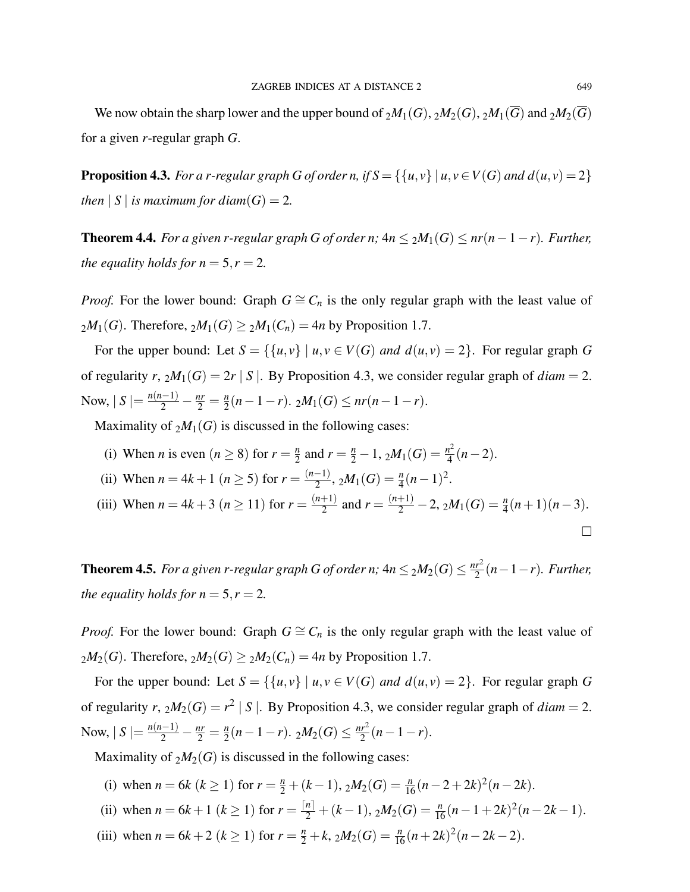We now obtain the sharp lower and the upper bound of  $_2M_1(G)$ ,  $_2M_2(G)$ ,  $_2M_1(\overline{G})$  and  $_2M_2(\overline{G})$ for a given *r*-regular graph *G*.

**Proposition 4.3.** *For a r-regular graph G of order n, if*  $S = \{ \{u, v\} | u, v \in V(G) \text{ and } d(u, v) = 2 \}$ *then*  $|S|$  *is maximum for diam* $(G) = 2$ *.* 

**Theorem 4.4.** *For a given r-regular graph G of order n;*  $4n ≤ 2M_1(G) ≤ nr(n-1-r)$ *. Further, the equality holds for*  $n = 5, r = 2$ *.* 

*Proof.* For the lower bound: Graph  $G \cong C_n$  is the only regular graph with the least value of  $2M_1(G)$ . Therefore,  $2M_1(G) \geq 2M_1(C_n) = 4n$  by Proposition 1.7.

For the upper bound: Let  $S = \{ \{u, v\} \mid u, v \in V(G) \text{ and } d(u, v) = 2 \}$ . For regular graph *G* of regularity *r*,  $_2M_1(G) = 2r | S |$ . By Proposition 4.3, we consider regular graph of *diam* = 2. Now,  $|S| = \frac{n(n-1)}{2} - \frac{nr}{2} = \frac{n}{2}$  $\frac{n}{2}(n-1-r)$ . 2*M*<sub>1</sub>(*G*)  $\leq nr(n-1-r)$ .

Maximality of  $_2M_1(G)$  is discussed in the following cases:

- (i) When *n* is even  $(n \ge 8)$  for  $r = \frac{n}{2}$  $\frac{n}{2}$  and  $r = \frac{n}{2} - 1$ ,  $_2M_1(G) = \frac{n^2}{4}$  $\frac{1^2}{4}(n-2)$ .
- (ii) When  $n = 4k + 1$  ( $n \ge 5$ ) for  $r = \frac{(n-1)}{2}$  $\frac{(n-1)}{2}, \, 2M_1(G) = \frac{n}{4}(n-1)^2.$
- (iii) When  $n = 4k + 3$  ( $n \ge 11$ ) for  $r = \frac{(n+1)}{2}$  $\frac{n+1}{2}$  and  $r = \frac{(n+1)}{2} - 2$ , 2 $M_1(G) = \frac{n}{4}(n+1)(n-3)$ .

**Theorem 4.5.** For a given r-regular graph G of order n;  $4n \leq 2M_2(G) \leq \frac{nr^2}{2}$  $\frac{r^2}{2}(n-1-r)$ *. Further, the equality holds for*  $n = 5, r = 2$ *.* 

*Proof.* For the lower bound: Graph  $G \cong C_n$  is the only regular graph with the least value of  $2M_2(G)$ . Therefore,  $2M_2(G) \ge 2M_2(C_n) = 4n$  by Proposition 1.7.

For the upper bound: Let  $S = \{ \{u, v\} \mid u, v \in V(G) \text{ and } d(u, v) = 2 \}$ . For regular graph *G* of regularity *r*,  $_2M_2(G) = r^2 |S|$ . By Proposition 4.3, we consider regular graph of *diam* = 2. Now,  $|S| = \frac{n(n-1)}{2} - \frac{nr}{2} = \frac{n}{2}$  $\frac{n}{2}(n-1-r)$ . 2 $M_2(G) \leq \frac{nr^2}{2}$  $rac{r^2}{2}(n-1-r).$ 

Maximality of  $_2M_2(G)$  is discussed in the following cases:

- (i) when  $n = 6k$  ( $k \ge 1$ ) for  $r = \frac{n}{2} + (k-1)$ ,  $2M_2(G) = \frac{n}{16}(n-2+2k)^2(n-2k)$ .
- (ii) when  $n = 6k + 1$  ( $k \ge 1$ ) for  $r = \frac{[n]}{2} + (k-1)$ ,  $2M_2(G) = \frac{n}{16}(n-1+2k)^2(n-2k-1)$ .
- (iii) when  $n = 6k + 2$  ( $k \ge 1$ ) for  $r = \frac{n}{2} + k$ ,  $2M_2(G) = \frac{n}{16}(n+2k)^2(n-2k-2)$ .

 $\Box$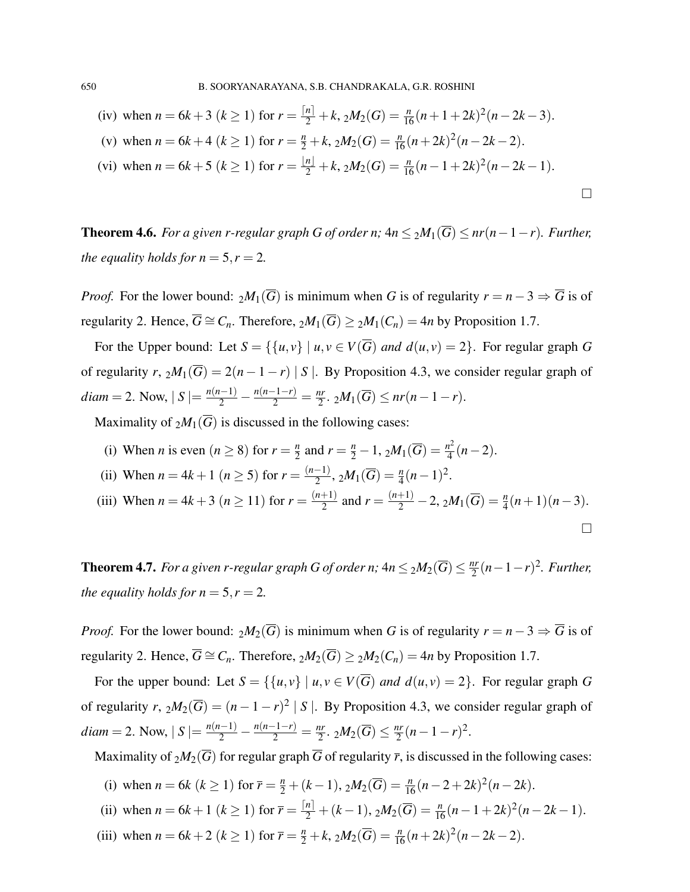(iv) when 
$$
n = 6k + 3
$$
  $(k \ge 1)$  for  $r = \frac{\lfloor n \rfloor}{2} + k$ ,  $2M_2(G) = \frac{n}{16}(n + 1 + 2k)^2(n - 2k - 3)$ .  
\n(v) when  $n = 6k + 4$   $(k \ge 1)$  for  $r = \frac{n}{2} + k$ ,  $2M_2(G) = \frac{n}{16}(n + 2k)^2(n - 2k - 2)$ .  
\n(vi) when  $n = 6k + 5$   $(k \ge 1)$  for  $r = \frac{\lfloor n \rfloor}{2} + k$ ,  $2M_2(G) = \frac{n}{16}(n - 1 + 2k)^2(n - 2k - 1)$ .

**Theorem 4.6.** *For a given r-regular graph G of order n;*  $4n ≤ 2M_1(\overline{G}) ≤ nr(n-1-r)$ *. Further, the equality holds for*  $n = 5, r = 2$ *.* 

*Proof.* For the lower bound:  $_2M_1(\overline{G})$  is minimum when *G* is of regularity  $r = n - 3 \Rightarrow \overline{G}$  is of regularity 2. Hence,  $\overline{G} \cong C_n$ . Therefore,  $_2M_1(\overline{G}) \geq 2M_1(C_n) = 4n$  by Proposition 1.7.

For the Upper bound: Let  $S = \{ \{u, v\} \mid u, v \in V(\overline{G}) \text{ and } d(u, v) = 2 \}.$  For regular graph *G* of regularity *r*,  ${}_{2}M_1(\overline{G}) = 2(n-1-r) |S|$ . By Proposition 4.3, we consider regular graph of *diam* = 2. Now,  $|S| = \frac{n(n-1)}{2} - \frac{n(n-1-r)}{2} = \frac{nr}{2}$  $\frac{2r}{2}$ .  $2M_1(\overline{G}) \leq nr(n-1-r)$ .

Maximality of  $_2M_1(\overline{G})$  is discussed in the following cases:

- (i) When *n* is even  $(n \ge 8)$  for  $r = \frac{n}{2}$  $\frac{n}{2}$  and  $r = \frac{n}{2} - 1$ ,  ${}_{2}M_{1}(\overline{G}) = \frac{n^{2}}{4}$  $\frac{i^2}{4}(n-2)$ .
- (ii) When  $n = 4k + 1$  ( $n \ge 5$ ) for  $r = \frac{(n-1)}{2}$  $\frac{(n-1)}{2}, 2M_1(\overline{G}) = \frac{n}{4}(n-1)^2.$
- (iii) When  $n = 4k + 3$  ( $n \ge 11$ ) for  $r = \frac{(n+1)}{2}$  $\frac{n+1}{2}$  and  $r = \frac{(n+1)}{2} - 2$ ,  ${}_2M_1(\overline{G}) = \frac{n}{4}(n+1)(n-3)$ .  $\Box$

**Theorem 4.7.** For a given r-regular graph G of order n;  $4n \leq 2M_2(\overline{G}) \leq \frac{nr}{2}$  $\frac{dr}{2}(n-1-r)^2$ . Further, *the equality holds for*  $n = 5, r = 2$ *.* 

*Proof.* For the lower bound:  $_2M_2(\overline{G})$  is minimum when *G* is of regularity  $r = n - 3 \Rightarrow \overline{G}$  is of regularity 2. Hence,  $\overline{G} \cong C_n$ . Therefore,  ${}_2M_2(\overline{G}) \geq {}_2M_2(C_n) = 4n$  by Proposition 1.7.

For the upper bound: Let  $S = \{ \{u, v\} \mid u, v \in V(\overline{G}) \text{ and } d(u, v) = 2 \}.$  For regular graph *G* of regularity *r*,  ${}_{2}M_{2}(\overline{G}) = (n-1-r)^{2} |S|$ . By Proposition 4.3, we consider regular graph of *diam* = 2. Now,  $|S| = \frac{n(n-1)}{2} - \frac{n(n-1-r)}{2} = \frac{nr}{2}$  $\frac{nr}{2}$ . 2 $M_2(\overline{G}) \leq \frac{nr}{2}$  $\frac{ar}{2}(n-1-r)^2$ .

Maximality of  $_2M_2(\overline{G})$  for regular graph  $\overline{G}$  of regularity  $\overline{r}$ , is discussed in the following cases:

- (i) when  $n = 6k$  ( $k \ge 1$ ) for  $\overline{r} = \frac{n}{2} + (k-1)$ ,  $2M_2(\overline{G}) = \frac{n}{16}(n-2+2k)^2(n-2k)$ .
- (ii) when  $n = 6k + 1$  ( $k \ge 1$ ) for  $\overline{r} = \frac{[n]}{2} + (k-1)$ ,  $2M_2(\overline{G}) = \frac{n}{16}(n-1+2k)^2(n-2k-1)$ .
- (iii) when  $n = 6k + 2$  ( $k \ge 1$ ) for  $\overline{r} = \frac{n}{2} + k$ ,  $2M_2(\overline{G}) = \frac{n}{16}(n+2k)^2(n-2k-2)$ .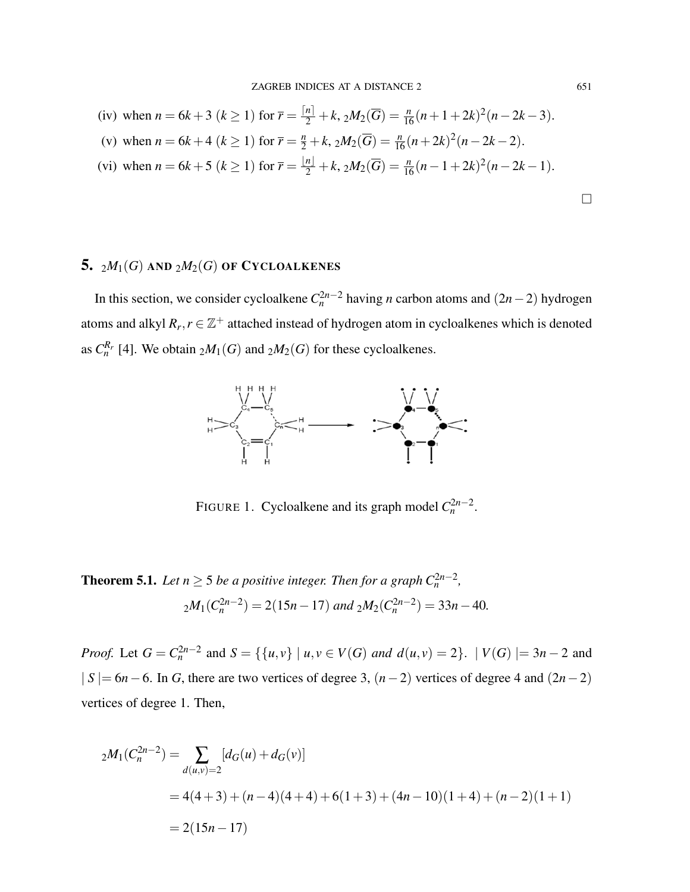(iv) when 
$$
n = 6k + 3
$$
  $(k \ge 1)$  for  $\overline{r} = \frac{[n]}{2} + k$ ,  ${}_2M_2(\overline{G}) = \frac{n}{16}(n + 1 + 2k)^2(n - 2k - 3)$ .  
\n(v) when  $n = 6k + 4$   $(k \ge 1)$  for  $\overline{r} = \frac{n}{2} + k$ ,  ${}_2M_2(\overline{G}) = \frac{n}{16}(n + 2k)^2(n - 2k - 2)$ .  
\n(vi) when  $n = 6k + 5$   $(k \ge 1)$  for  $\overline{r} = \frac{|n|}{2} + k$ ,  ${}_2M_2(\overline{G}) = \frac{n}{16}(n - 1 + 2k)^2(n - 2k - 1)$ .

# 5.  $_2M_1(G)$  AND  $_2M_2(G)$  OF CYCLOALKENES

In this section, we consider cycloalkene  $C_n^{2n-2}$  having *n* carbon atoms and  $(2n-2)$  hydrogen atoms and alkyl  $R_r$ ,  $r \in \mathbb{Z}^+$  attached instead of hydrogen atom in cycloalkenes which is denoted as  $C_n^{R_r}$  [4]. We obtain  $_2M_1(G)$  and  $_2M_2(G)$  for these cycloalkenes.



FIGURE 1. Cycloalkene and its graph model  $C_n^{2n-2}$ .

**Theorem 5.1.** Let  $n \geq 5$  be a positive integer. Then for a graph  $C_n^{2n-2}$ ,  $2M_1(C_n^{2n-2}) = 2(15n - 17)$  and  $2M_2(C_n^{2n-2}) = 33n - 40$ .

*Proof.* Let  $G = C_n^{2n-2}$  and  $S = \{ \{u, v\} \mid u, v \in V(G) \text{ and } d(u, v) = 2 \}.$  |  $V(G)$  |= 3*n* − 2 and | *S* |= 6*n*−6. In *G*, there are two vertices of degree 3, (*n*−2) vertices of degree 4 and (2*n*−2) vertices of degree 1. Then,

$$
{}_{2}M_{1}(C_{n}^{2n-2}) = \sum_{d(u,v)=2} [d_{G}(u) + d_{G}(v)]
$$
  
= 4(4+3) + (n-4)(4+4) + 6(1+3) + (4n-10)(1+4) + (n-2)(1+1)  
= 2(15n-17)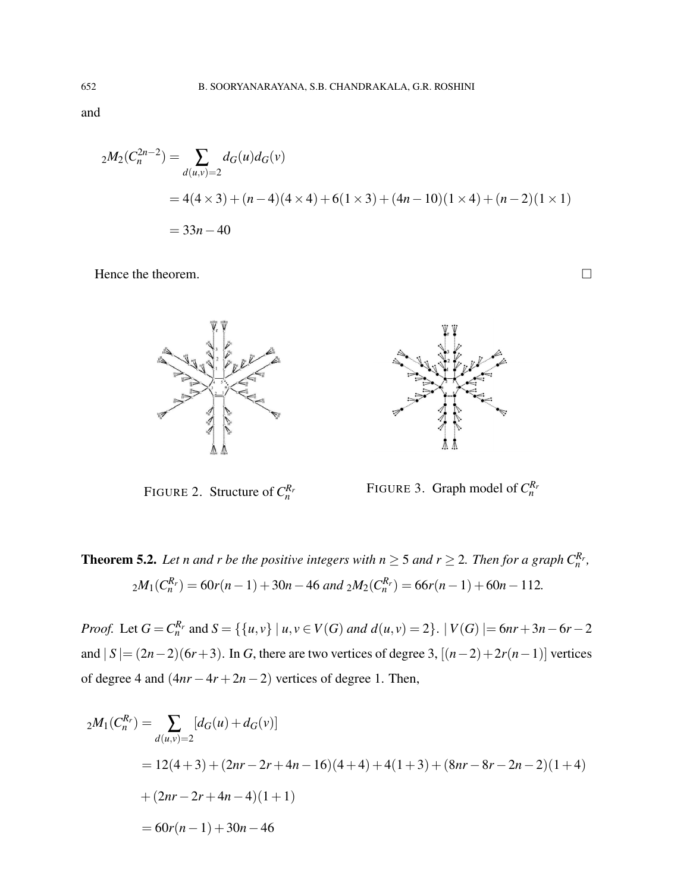and

$$
{}_{2}M_{2}(C_{n}^{2n-2}) = \sum_{d(u,v)=2} d_{G}(u)d_{G}(v)
$$
  
= 4(4 × 3) + (n-4)(4 × 4) + 6(1 × 3) + (4n – 10)(1 × 4) + (n-2)(1 × 1)  
= 33n - 40

Hence the theorem.





FIGURE 2. Structure of  $C_n^{R_n}$ 

FIGURE 3. Graph model of  $C_n^{R_n}$ 

**Theorem 5.2.** Let n and r be the positive integers with  $n \geq 5$  and  $r \geq 2$ . Then for a graph  $C_n^{R_r}$ ,  $2M_1(C_n^{R_r}) = 60r(n-1) + 30n - 46$  and  $2M_2(C_n^{R_r}) = 66r(n-1) + 60n - 112$ .

*Proof.* Let  $G = C_n^{R_r}$  and  $S = \{ \{u, v\} \mid u, v \in V(G) \text{ and } d(u, v) = 2 \}.$   $|V(G)| = 6nr + 3n - 6r - 2$ and  $|S| = (2n-2)(6r+3)$ . In *G*, there are two vertices of degree 3,  $[(n-2)+2r(n-1)]$  vertices of degree 4 and  $(4nr - 4r + 2n - 2)$  vertices of degree 1. Then,

$$
{}_{2}M_{1}(C_{n}^{R_{r}}) = \sum_{d(u,v)=2} [d_{G}(u) + d_{G}(v)]
$$
  
= 12(4+3) + (2nr - 2r + 4n - 16)(4+4) + 4(1+3) + (8nr - 8r - 2n - 2)(1+4)  
+ (2nr - 2r + 4n - 4)(1+1)  
= 60r(n-1) + 30n - 46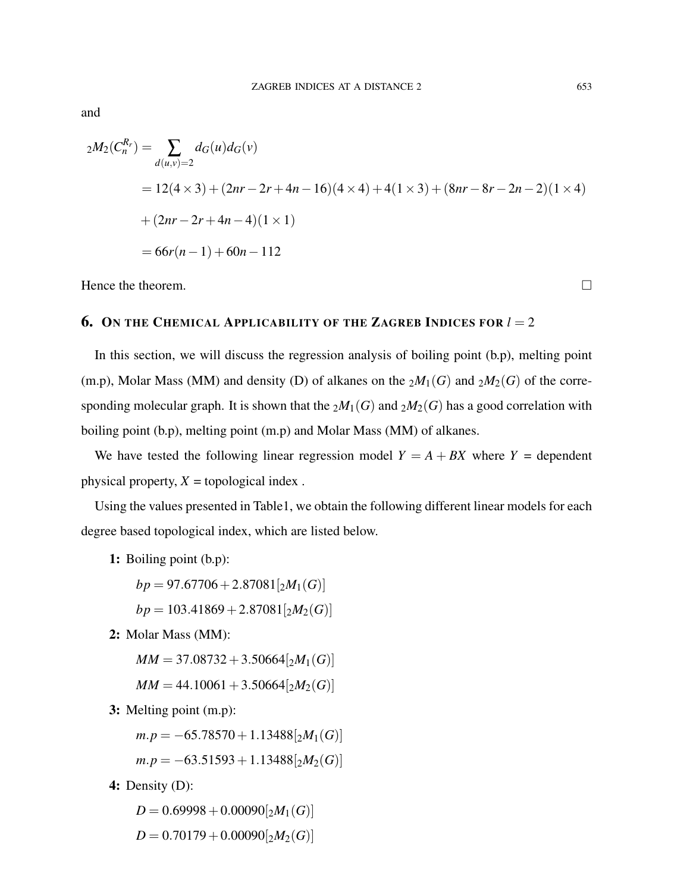$$
{}_{2}M_{2}(C_{n}^{R_{r}}) = \sum_{d(u,v)=2} d_{G}(u)d_{G}(v)
$$
  
= 12(4 × 3) + (2nr – 2r + 4n – 16)(4 × 4) + 4(1 × 3) + (8nr – 8r – 2n – 2)(1 × 4)  
+ (2nr – 2r + 4n – 4)(1 × 1)  
= 66r(n – 1) + 60n – 112

Hence the theorem.  $\Box$ 

## **6.** ON THE CHEMICAL APPLICABILITY OF THE ZAGREB INDICES FOR  $l = 2$

In this section, we will discuss the regression analysis of boiling point (b.p), melting point (m.p), Molar Mass (MM) and density (D) of alkanes on the  $_2M_1(G)$  and  $_2M_2(G)$  of the corresponding molecular graph. It is shown that the  $_2M_1(G)$  and  $_2M_2(G)$  has a good correlation with boiling point (b.p), melting point (m.p) and Molar Mass (MM) of alkanes.

We have tested the following linear regression model  $Y = A + BX$  where  $Y =$  dependent physical property,  $X =$  topological index.

Using the values presented in Table1, we obtain the following different linear models for each degree based topological index, which are listed below.

1: Boiling point (b.p):

 $bp = 97.67706 + 2.87081[<sub>2</sub>M<sub>1</sub>(*G*)]$ 

$$
bp = 103.41869 + 2.87081 \left[2M_2(G)\right]
$$

2: Molar Mass (MM):

 $MM = 37.08732 + 3.50664[<sub>2</sub>M<sub>1</sub>(*G*)]$ 

$$
MM = 44.10061 + 3.50664[2M2(G)]
$$

3: Melting point (m.p):

 $m.p = -65.78570 + 1.13488[<sub>2</sub>M<sub>1</sub>(*G*)]$ 

$$
m.p = -63.51593 + 1.13488 \big[ 2M_2(G) \big]
$$

4: Density (D):

 $D = 0.69998 + 0.00090[<sub>2</sub>M<sub>1</sub>(*G*)]$  $D = 0.70179 + 0.00090[<sub>2</sub>M<sub>2</sub>(*G*)]$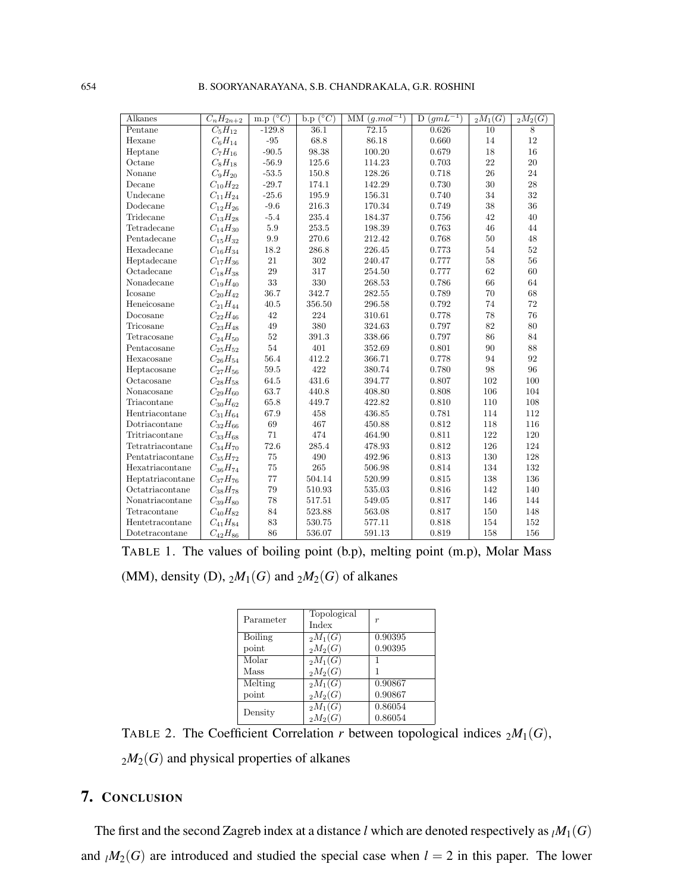654 B. SOORYANARAYANA, S.B. CHANDRAKALA, G.R. ROSHINI

| Alkanes          | $\overline{C_n}H_{2n+2}$ | $(^{\circ}C)$<br>m.p | $({}^{\circ}C)$<br>b.p | $\overline{\mathrm{MM}}(g.mol^{-1})$ | $(gm\overline{L^{-1}})$<br>D | $_{2}M_{1}(G)$ | $_{2}M_{2}(G)$ |
|------------------|--------------------------|----------------------|------------------------|--------------------------------------|------------------------------|----------------|----------------|
| Pentane          | $C_5H_{12}$              | $-129.8$             | 36.1                   | 72.15                                | 0.626                        | 10             | 8              |
| Hexane           | $C_6H_{14}$              | $-95$                | 68.8                   | 86.18                                | 0.660                        | 14             | 12             |
| Heptane          | $C_7H_{16}$              | $-90.5$              | 98.38                  | 100.20                               | 0.679                        | 18             | 16             |
| Octane           | $C_8H_{18}$              | $-56.9$              | 125.6                  | 114.23                               | 0.703                        | 22             | 20             |
| Nonane           | $C_9H_{20}$              | $-53.5$              | 150.8                  | 128.26                               | 0.718                        | 26             | 24             |
| Decane           | $C_{10}H_{22}$           | $-29.7$              | 174.1                  | 142.29                               | 0.730                        | 30             | 28             |
| Undecane         | $C_{11}H_{24}$           | $-25.6$              | 195.9                  | 156.31                               | 0.740                        | 34             | 32             |
| Dodecane         | $C_{12}H_{26}$           | $-9.6$               | 216.3                  | 170.34                               | 0.749                        | 38             | 36             |
| Tridecane        | $C_{13}H_{28}$           | $-5.4$               | 235.4                  | 184.37                               | 0.756                        | 42             | 40             |
| Tetradecane      | $C_{14}H_{30}$           | 5.9                  | 253.5                  | 198.39                               | 0.763                        | 46             | 44             |
| Pentadecane      | $C_{15}H_{32}$           | 9.9                  | 270.6                  | 212.42                               | 0.768                        | 50             | 48             |
| Hexadecane       | $C_{16}H_{34}$           | 18.2                 | 286.8                  | 226.45                               | 0.773                        | 54             | 52             |
| Heptadecane      | $C_{17}H_{36}$           | 21                   | 302                    | 240.47                               | 0.777                        | 58             | 56             |
| Octadecane       | $C_{18}H_{38}$           | 29                   | 317                    | 254.50                               | 0.777                        | 62             | 60             |
| Nonadecane       | $C_{19}H_{40}$           | 33                   | 330                    | 268.53                               | 0.786                        | 66             | 64             |
| Icosane          | $C_{20}H_{42}$           | 36.7                 | 342.7                  | 282.55                               | 0.789                        | 70             | 68             |
| Heneicosane      | $C_{21}H_{44}$           | 40.5                 | 356.50                 | 296.58                               | 0.792                        | 74             | 72             |
| Docosane         | $C_{22}H_{46}$           | 42                   | 224                    | 310.61                               | 0.778                        | 78             | 76             |
| Tricosane        | $C_{23}H_{48}$           | 49                   | 380                    | 324.63                               | 0.797                        | 82             | 80             |
| Tetracosane      | $C_{24}H_{50}$           | 52                   | 391.3                  | 338.66                               | 0.797                        | 86             | 84             |
| Pentacosane      | $C_{25}H_{52}$           | 54                   | 401                    | 352.69                               | 0.801                        | 90             | 88             |
| Hexacosane       | $C_{26}H_{54}$           | 56.4                 | 412.2                  | 366.71                               | 0.778                        | 94             | 92             |
| Heptacosane      | $C_{27}H_{56}$           | 59.5                 | 422                    | 380.74                               | 0.780                        | 98             | 96             |
| Octacosane       | $C_{28}H_{58}$           | 64.5                 | 431.6                  | 394.77                               | 0.807                        | 102            | 100            |
| Nonacosane       | $C_{29}H_{60}$           | 63.7                 | 440.8                  | 408.80                               | 0.808                        | 106            | 104            |
| Triacontane      | $C_{30}H_{62}$           | 65.8                 | 449.7                  | 422.82                               | 0.810                        | 110            | 108            |
| Hentriacontane   | $C_{31}H_{64}$           | 67.9                 | 458                    | 436.85                               | 0.781                        | 114            | 112            |
| Dotriacontane    | $C_{32}H_{66}$           | 69                   | 467                    | 450.88                               | 0.812                        | 118            | 116            |
| Tritriacontane   | $C_{33}H_{68}$           | 71                   | 474                    | 464.90                               | 0.811                        | 122            | 120            |
| Tetratriacontane | $C_{34}H_{70}$           | 72.6                 | 285.4                  | 478.93                               | 0.812                        | 126            | 124            |
| Pentatriacontane | $C_{35}H_{72}$           | 75                   | 490                    | 492.96                               | 0.813                        | 130            | 128            |
| Hexatriacontane  | $C_{36}H_{74}$           | 75                   | 265                    | 506.98                               | 0.814                        | 134            | 132            |
| Heptatriacontane | $C_{37}H_{76}$           | 77                   | 504.14                 | 520.99                               | 0.815                        | 138            | 136            |
| Octatriacontane  | $C_{38}H_{78}$           | 79                   | 510.93                 | 535.03                               | 0.816                        | 142            | 140            |
| Nonatriacontane  | $C_{39}H_{80}$           | 78                   | 517.51                 | 549.05                               | 0.817                        | 146            | 144            |
| Tetracontane     | $C_{40}H_{82}$           | 84                   | 523.88                 | 563.08                               | 0.817                        | 150            | 148            |
| Hentetracontane  | $C_{41}H_{84}$           | 83                   | 530.75                 | 577.11                               | 0.818                        | 154            | 152            |
| Dotetracontane   | $C_{42}H_{86}$           | 86                   | 536.07                 | 591.13                               | 0.819                        | 158            | 156            |

TABLE 1. The values of boiling point (b.p), melting point (m.p), Molar Mass

(MM), density (D),  $_2M_1(G)$  and  $_2M_2(G)$  of alkanes

| Parameter      | Topological<br>Index  | $\boldsymbol{r}$ |
|----------------|-----------------------|------------------|
| <b>Boiling</b> | $_{2}M_{1}(G)$        | 0.90395          |
| point          | $_{2}M_{2}(G)$        | 0.90395          |
| Molar          | $_{2}M_{1}(G)$        |                  |
| Mass           | $_{2}M_{2}(G)$        |                  |
| Melting        | $_{2}M_{1}(G)$        | 0.90867          |
| point          | $_{2}M_{2}(G)$        | 0.90867          |
| Density        | $_2\overline{M_1(G)}$ | 0.86054          |
|                | $_{2}M_{2}(G)$        | 0.86054          |

TABLE 2. The Coefficient Correlation *r* between topological indices  $_2M_1(G)$ ,

 $_2M_2(G)$  and physical properties of alkanes

## 7. CONCLUSION

The first and the second Zagreb index at a distance *l* which are denoted respectively as  $_lM_1(G)$ and  $\iota M_2(G)$  are introduced and studied the special case when  $l = 2$  in this paper. The lower